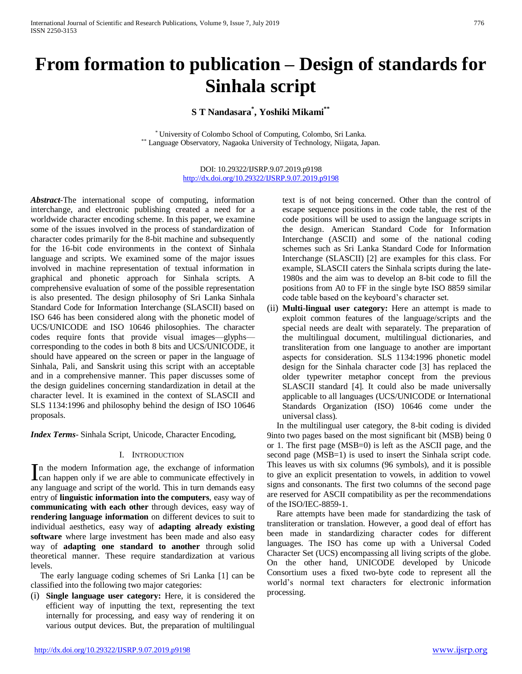# **From formation to publication – Design of standards for Sinhala script**

**S T Nandasara\* , Yoshiki Mikami\*\***

\* University of Colombo School of Computing, Colombo, Sri Lanka. Language Observatory, Nagaoka University of Technology, Niigata, Japan.

> DOI: 10.29322/IJSRP.9.07.2019.p9198 <http://dx.doi.org/10.29322/IJSRP.9.07.2019.p9198>

*Abstract*-The international scope of computing, information interchange, and electronic publishing created a need for a worldwide character encoding scheme. In this paper, we examine some of the issues involved in the process of standardization of character codes primarily for the 8-bit machine and subsequently for the 16-bit code environments in the context of Sinhala language and scripts. We examined some of the major issues involved in machine representation of textual information in graphical and phonetic approach for Sinhala scripts. A comprehensive evaluation of some of the possible representation is also presented. The design philosophy of Sri Lanka Sinhala Standard Code for Information Interchange (SLASCII) based on ISO 646 has been considered along with the phonetic model of UCS/UNICODE and ISO 10646 philosophies. The character codes require fonts that provide visual images—glyphs corresponding to the codes in both 8 bits and UCS/UNICODE, it should have appeared on the screen or paper in the language of Sinhala, Pali, and Sanskrit using this script with an acceptable and in a comprehensive manner. This paper discusses some of the design guidelines concerning standardization in detail at the character level. It is examined in the context of SLASCII and SLS 1134:1996 and philosophy behind the design of ISO 10646 proposals.

*Index Terms*- Sinhala Script, Unicode, Character Encoding,

## I. INTRODUCTION

n the modern Information age, the exchange of information In the modern Information age, the exchange of information can happen only if we are able to communicate effectively in any language and script of the world. This in turn demands easy entry of **linguistic information into the computers**, easy way of **communicating with each other** through devices, easy way of **rendering language information** on different devices to suit to individual aesthetics, easy way of **adapting already existing software** where large investment has been made and also easy way of **adapting one standard to another** through solid theoretical manner. These require standardization at various levels.

The early language coding schemes of Sri Lanka [1] can be classified into the following two major categories:

(i) **Single language user category:** Here, it is considered the efficient way of inputting the text, representing the text internally for processing, and easy way of rendering it on various output devices. But, the preparation of multilingual text is of not being concerned. Other than the control of escape sequence positions in the code table, the rest of the code positions will be used to assign the language scripts in the design. American Standard Code for Information Interchange (ASCII) and some of the national coding schemes such as Sri Lanka Standard Code for Information Interchange (SLASCII) [2] are examples for this class. For example, SLASCII caters the Sinhala scripts during the late-1980s and the aim was to develop an 8-bit code to fill the positions from A0 to FF in the single byte ISO 8859 similar code table based on the keyboard's character set.

(ii) **Multi-lingual user category:** Here an attempt is made to exploit common features of the language/scripts and the special needs are dealt with separately. The preparation of the multilingual document, multilingual dictionaries, and transliteration from one language to another are important aspects for consideration. SLS 1134:1996 phonetic model design for the Sinhala character code [3] has replaced the older typewriter metaphor concept from the previous SLASCII standard [4]. It could also be made universally applicable to all languages (UCS/UNICODE or International Standards Organization (ISO) 10646 come under the universal class).

In the multilingual user category, the 8-bit coding is divided 9into two pages based on the most significant bit (MSB) being 0 or 1. The first page (MSB=0) is left as the ASCII page, and the second page (MSB=1) is used to insert the Sinhala script code. This leaves us with six columns (96 symbols), and it is possible to give an explicit presentation to vowels, in addition to vowel signs and consonants. The first two columns of the second page are reserved for ASCII compatibility as per the recommendations of the ISO/IEC-8859-1.

Rare attempts have been made for standardizing the task of transliteration or translation. However, a good deal of effort has been made in standardizing character codes for different languages. The ISO has come up with a Universal Coded Character Set (UCS) encompassing all living scripts of the globe. On the other hand, UNICODE developed by Unicode Consortium uses a fixed two-byte code to represent all the world's normal text characters for electronic information processing.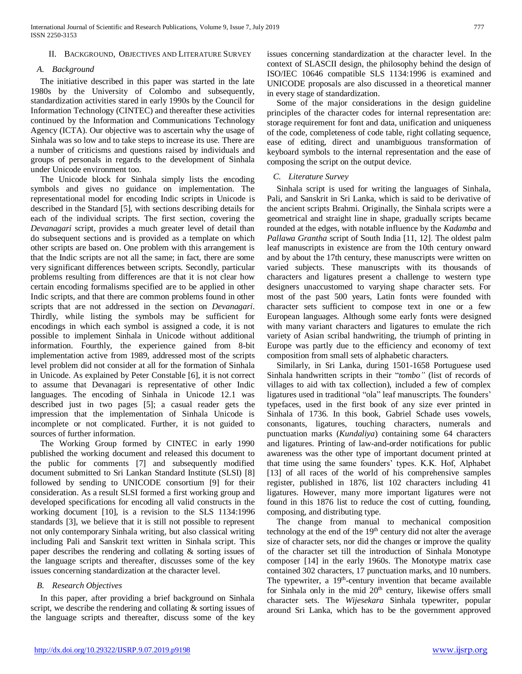## II. BACKGROUND, OBJECTIVES AND LITERATURE SURVEY

## *A. Background*

The initiative described in this paper was started in the late 1980s by the University of Colombo and subsequently, standardization activities stared in early 1990s by the Council for Information Technology (CINTEC) and thereafter these activities continued by the Information and Communications Technology Agency (ICTA). Our objective was to ascertain why the usage of Sinhala was so low and to take steps to increase its use. There are a number of criticisms and questions raised by individuals and groups of personals in regards to the development of Sinhala under Unicode environment too.

The Unicode block for Sinhala simply lists the encoding symbols and gives no guidance on implementation. The representational model for encoding Indic scripts in Unicode is described in the Standard [5], with sections describing details for each of the individual scripts. The first section, covering the *Devanagari* script, provides a much greater level of detail than do subsequent sections and is provided as a template on which other scripts are based on. One problem with this arrangement is that the Indic scripts are not all the same; in fact, there are some very significant differences between scripts. Secondly, particular problems resulting from differences are that it is not clear how certain encoding formalisms specified are to be applied in other Indic scripts, and that there are common problems found in other scripts that are not addressed in the section on *Devanagari*. Thirdly, while listing the symbols may be sufficient for encodings in which each symbol is assigned a code, it is not possible to implement Sinhala in Unicode without additional information. Fourthly, the experience gained from 8-bit implementation active from 1989, addressed most of the scripts level problem did not consider at all for the formation of Sinhala in Unicode. As explained by Peter Constable [6], it is not correct to assume that Devanagari is representative of other Indic languages. The encoding of Sinhala in Unicode 12.1 was described just in two pages [5]; a casual reader gets the impression that the implementation of Sinhala Unicode is incomplete or not complicated. Further, it is not guided to sources of further information.

The Working Group formed by CINTEC in early 1990 published the working document and released this document to the public for comments [7] and subsequently modified document submitted to Sri Lankan Standard Institute (SLSI) [8] followed by sending to UNICODE consortium [9] for their consideration. As a result SLSI formed a first working group and developed specifications for encoding all valid constructs in the working document [10], is a revision to the SLS 1134:1996 standards [3], we believe that it is still not possible to represent not only contemporary Sinhala writing, but also classical writing including Pali and Sanskrit text written in Sinhala script. This paper describes the rendering and collating & sorting issues of the language scripts and thereafter, discusses some of the key issues concerning standardization at the character level.

## *B. Research Objectives*

In this paper, after providing a brief background on Sinhala script, we describe the rendering and collating & sorting issues of the language scripts and thereafter, discuss some of the key

issues concerning standardization at the character level. In the context of SLASCII design, the philosophy behind the design of ISO/IEC 10646 compatible SLS 1134:1996 is examined and UNICODE proposals are also discussed in a theoretical manner in every stage of standardization.

Some of the major considerations in the design guideline principles of the character codes for internal representation are: storage requirement for font and data, unification and uniqueness of the code, completeness of code table, right collating sequence, ease of editing, direct and unambiguous transformation of keyboard symbols to the internal representation and the ease of composing the script on the output device.

## *C. Literature Survey*

Sinhala script is used for writing the languages of Sinhala, Pali, and Sanskrit in Sri Lanka, which is said to be derivative of the ancient scripts Brahmi. Originally, the Sinhala scripts were a geometrical and straight line in shape, gradually scripts became rounded at the edges, with notable influence by the *Kadamba* and *Pallawa Grantha* script of South India [11, 12]. The oldest palm leaf manuscripts in existence are from the 10th century onward and by about the 17th century, these manuscripts were written on varied subjects. These manuscripts with its thousands of characters and ligatures present a challenge to western type designers unaccustomed to varying shape character sets. For most of the past 500 years, Latin fonts were founded with character sets sufficient to compose text in one or a few European languages. Although some early fonts were designed with many variant characters and ligatures to emulate the rich variety of Asian scribal handwriting, the triumph of printing in Europe was partly due to the efficiency and economy of text composition from small sets of alphabetic characters.

Similarly, in Sri Lanka, during 1501-1658 Portuguese used Sinhala handwritten scripts in their "*tombo"* (list of records of villages to aid with tax collection), included a few of complex ligatures used in traditional "ola" leaf manuscripts. The founders' typefaces, used in the first book of any size ever printed in Sinhala of 1736. In this book, Gabriel Schade uses vowels, consonants, ligatures, touching characters, numerals and punctuation marks (*Kundaliya*) containing some 64 characters and ligatures. Printing of law-and-order notifications for public awareness was the other type of important document printed at that time using the same founders' types. K.K. Hof, Alphabet [13] of all races of the world of his comprehensive samples register, published in 1876, list 102 characters including 41 ligatures. However, many more important ligatures were not found in this 1876 list to reduce the cost of cutting, founding, composing, and distributing type.

The change from manual to mechanical composition technology at the end of the  $19<sup>th</sup>$  century did not alter the average size of character sets, nor did the changes or improve the quality of the character set till the introduction of Sinhala Monotype composer [14] in the early 1960s. The Monotype matrix case contained 302 characters, 17 punctuation marks, and 10 numbers. The typewriter, a 19<sup>th</sup>-century invention that became available for Sinhala only in the mid  $20<sup>th</sup>$  century, likewise offers small character sets. The *Wijesekara* Sinhala typewriter, popular around Sri Lanka, which has to be the government approved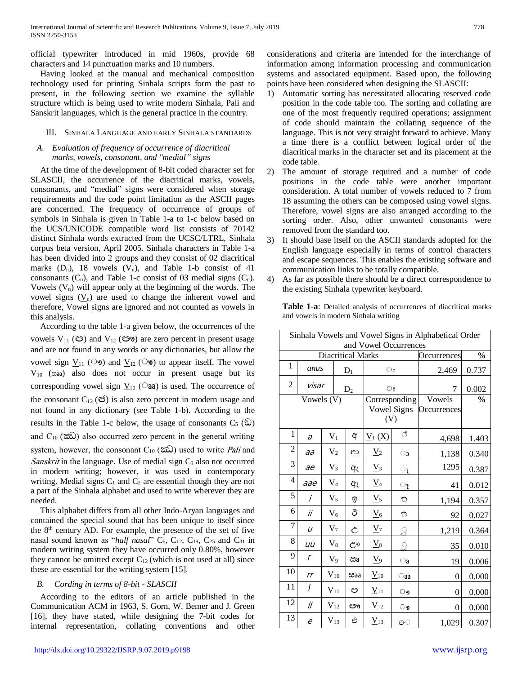official typewriter introduced in mid 1960s, provide 68 characters and 14 punctuation marks and 10 numbers.

Having looked at the manual and mechanical composition technology used for printing Sinhala scripts form the past to present, in the following section we examine the syllable structure which is being used to write modern Sinhala, Pali and Sanskrit languages, which is the general practice in the country.

### III. SINHALA LANGUAGE AND EARLY SINHALA STANDARDS

## *A. Evaluation of frequency of occurrence of diacritical marks, vowels, consonant, and "medial" signs*

At the time of the development of 8-bit coded character set for SLASCII, the occurrence of the diacritical marks, vowels, consonants, and "medial" signs were considered when storage requirements and the code point limitation as the ASCII pages are concerned. The frequency of occurrence of groups of symbols in Sinhala is given in Table 1-a to 1-c below based on the UCS/UNICODE compatible word list consists of 70142 distinct Sinhala words extracted from the UCSC/LTRL, Sinhala corpus beta version, April 2005. Sinhala characters in Table 1-a has been divided into 2 groups and they consist of 02 diacritical marks  $(D_n)$ , 18 vowels  $(V_n)$ , and Table 1-b consist of 41 consonants  $(C_n)$ , and Table 1-c consist of 03 medial signs  $(C_n)$ . Vowels  $(V_n)$  will appear only at the beginning of the words. The vowel signs  $(V_n)$  are used to change the inherent vowel and therefore, Vowel signs are ignored and not counted as vowels in this analysis.

According to the table 1-a given below, the occurrences of the vowels  $V_{11}$  ( $\mathfrak{S}$ ) and  $V_{12}$  ( $\mathfrak{S}$ <sup>o</sup>) are zero percent in present usage and are not found in any words or any dictionaries, but allow the vowel sign  $V_{11}$  ( $\heartsuit$ ) and  $V_{12}$  ( $\heartsuit$ ) to appear itself. The vowel  $V_{10}$  ( $\text{ca}$ a) also does not occur in present usage but its corresponding vowel sign  $V_{10}$  ( $\odot$ aa) is used. The occurrence of the consonant  $C_{12}$  ( $\mathfrak{S}$ ) is also zero percent in modern usage and not found in any dictionary (see Table 1-b). According to the results in the Table 1-c below, the usage of consonants  $C_5$  ( $\hat{\omega}$ ) and  $C_{10}$  ( $\hat{\infty}$ ) also occurred zero percent in the general writing system, however, the consonant  $C_{10}$  ( $\hat{\infty}$ ) used to write *Pali* and *Sanskrit* in the language. Use of medial sign  $C_3$  also not occurred in modern writing; however, it was used in contemporary writing. Medial signs  $\underline{C}_1$  and  $\underline{C}_2$  are essential though they are not a part of the Sinhala alphabet and used to write wherever they are needed.

This alphabet differs from all other Indo-Aryan languages and contained the special sound that has been unique to itself since the 8th century AD. For example, the presence of the set of five nasal sound known as "*half nasal*" C<sub>6</sub>, C<sub>12</sub>, C<sub>19</sub>, C<sub>25</sub> and C<sub>31</sub> in modern writing system they have occurred only 0.80%, however they cannot be omitted except  $C_{12}$  (which is not used at all) since these are essential for the writing system [15].

## *B. Cording in terms of 8-bit - SLASCII*

According to the editors of an article published in the Communication ACM in 1963, S. Gorn, W. Bemer and J. Green [16], they have stated, while designing the 7-bit codes for internal representation, collating conventions and other considerations and criteria are intended for the interchange of information among information processing and communication systems and associated equipment. Based upon, the following points have been considered when designing the SLASCII:

- 1) Automatic sorting has necessitated allocating reserved code position in the code table too. The sorting and collating are one of the most frequently required operations; assignment of code should maintain the collating sequence of the language. This is not very straight forward to achieve. Many a time there is a conflict between logical order of the diacritical marks in the character set and its placement at the code table.
- 2) The amount of storage required and a number of code positions in the code table were another important consideration. A total number of vowels reduced to 7 from 18 assuming the others can be composed using vowel signs. Therefore, vowel signs are also arranged according to the sorting order. Also, other unwanted consonants were removed from the standard too.
- 3) It should base itself on the ASCII standards adopted for the English language especially in terms of control characters and escape sequences. This enables the existing software and communication links to be totally compatible.
- 4) As far as possible there should be a direct correspondence to the existing Sinhala typewriter keyboard.

|                | Sinhala Vowels and Vowel Signs in Alphabetical Order<br>and Vowel Occurrences |                   |                          |                      |                                     |                       |               |  |
|----------------|-------------------------------------------------------------------------------|-------------------|--------------------------|----------------------|-------------------------------------|-----------------------|---------------|--|
|                |                                                                               |                   | <b>Diacritical Marks</b> |                      |                                     | Occurrences           | $\frac{0}{0}$ |  |
| $\mathbf{1}$   | anus                                                                          |                   | $\mathbf{D}_1$           | ം                    |                                     | 2,469                 | 0.737         |  |
| $\overline{2}$ | visar                                                                         |                   | $D_2$                    | ះ                    |                                     | 7                     | 0.002         |  |
|                | Vowels (V)                                                                    |                   |                          | $(\underline{V})$    | Corresponding<br><b>Vowel Signs</b> | Vowels<br>Occurrences | $\frac{0}{0}$ |  |
| 1              | $\partial$                                                                    | $V_1$             | අ                        | $\underline{V}_1(X)$ | ै                                   | 4,698                 | 1.403         |  |
| $\overline{c}$ | aa                                                                            | V <sub>2</sub>    | ආ                        | $V_2$                | ാ                                   | 1,138                 | 0.340         |  |
| 3              | ae                                                                            | $V_3$             | ඇ                        | $\underline{V}_3$    | $\circ_{\iota}$                     | 1295                  | 0.387         |  |
| 4              | aae                                                                           | $\rm V_4$         | ඇ                        | $\underline{V}_4$    | ැ                                   | 41                    | 0.012         |  |
| 5              | i                                                                             | $V_5$             | ඉ                        | $\underline{V}_5$    | O                                   | 1,194                 | 0.357         |  |
| 6              | ii                                                                            | $V_6$             | ඊ                        | $\underline{V}_6$    | ಿ                                   | 92                    | 0.027         |  |
| 7              | $\iota$                                                                       | $V_7$             | Ĉ                        | $V_7$                | $\overline{S}$                      | 1,219                 | 0.364         |  |
| 8              | иu                                                                            | $V_8$             | ඌ                        | $\underline{V}_8$    | $\overline{\Omega}$                 | 35                    | 0.010         |  |
| 9              | ŗ                                                                             | $V_9$             | ඎ                        | $\underline{V}_9$    | $\circ$ a                           | 19                    | 0.006         |  |
| 10             | rr                                                                            | $\mathbf{V}_{10}$ | coaa                     | $\underline{V}_{10}$ | $\circ$ aa                          | $\theta$              | 0.000         |  |
| 11             | ļ                                                                             | $V_{11}$          | ඏ                        | $\underline{V}_{11}$ | ෟ                                   | 0                     | 0.000         |  |
| 12             | //                                                                            | $V_{12}$          | ඐ                        | $\underline{V}_{12}$ | ෳ                                   | $\theta$              | 0.000         |  |
| 13             | e                                                                             | $V_{13}$          | එ                        | $\underline{V}_{13}$ | ෙ                                   | 1,029                 | 0.307         |  |

**Table 1-a**: Detailed analysis of occurrences of diacritical marks and vowels in modern Sinhala writing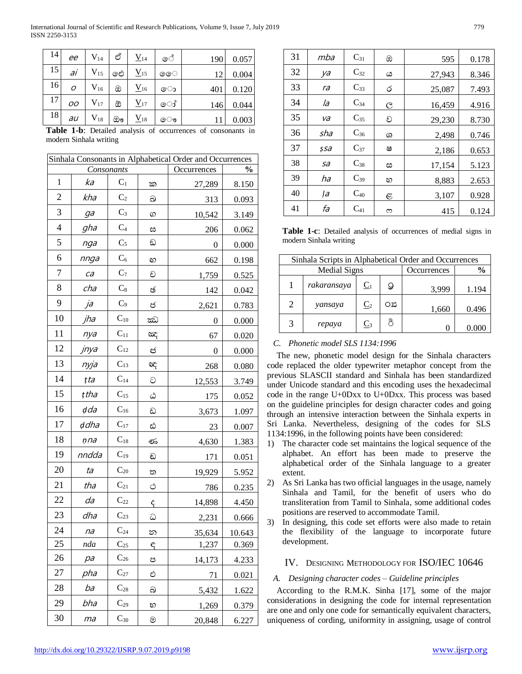| 14 | ee  | $\rm V_{14}$             | ප් | $\underline{V}_{14}$ | ේ | 190    | 0.057 |
|----|-----|--------------------------|----|----------------------|---|--------|-------|
| 15 | ai  | $V_{15}$                 | ඓ  | $\underline{V}_{15}$ | ෛ | 12     | 0.004 |
| 16 | Ο   | $\rm V_{16}$             | ඔ  | $\underline{V}_{16}$ | ො | 401    | 0.120 |
| 17 | OΟ  | $\rm V_{17}$             | ඕ  | $\underline{V}_{17}$ | ෝ | 146    | 0.044 |
| 18 | au  | $\rm V_{18}$             | ඖ  | $\rm V_{18}$         | ෞ | 11     | 0.003 |
| .  | . . | $\overline{\phantom{a}}$ |    | .<br>$\sim$          |   | $\sim$ |       |

Table 1-b: Detailed analysis of occurrences of consonants in modern Sinhala writing

| Sinhala Consonants in Alphabetical Order and Occurrences |       |                   |    |             |               |  |  |  |
|----------------------------------------------------------|-------|-------------------|----|-------------|---------------|--|--|--|
|                                                          |       | Consonants        |    | Occurrences | $\frac{1}{2}$ |  |  |  |
| 1                                                        | ka    | $C_1$             | ක  | 27,289      | 8.150         |  |  |  |
| $\overline{2}$                                           | kha   | C <sub>2</sub>    | ඛ  | 313         | 0.093         |  |  |  |
| 3                                                        | ga    | $C_3$             | ග  | 10,542      | 3.149         |  |  |  |
| $\overline{4}$                                           | gha   | $C_4$             | ස  | 206         | 0.062         |  |  |  |
| 5                                                        | nga   | $C_5$             | ඞ  | 0           | 0.000         |  |  |  |
| 6                                                        | nnga  | $C_6$             | හ  | 662         | 0.198         |  |  |  |
| 7                                                        | ca    | $C_7$             | ච  | 1,759       | 0.525         |  |  |  |
| 8                                                        | cha   | $\mathrm{C}_8$    | ඡ  | 142         | 0.042         |  |  |  |
| 9                                                        | ja    | $C_9$             | ජ  | 2,621       | 0.783         |  |  |  |
| 10                                                       | jha   | $C_{10}$          | ඣ  | 0           | 0.000         |  |  |  |
| 11                                                       | nya   | $C_{11}$          | ඤ  | 67          | 0.020         |  |  |  |
| 12                                                       | jnya  | $C_{12}$          | ඦ  | 0           | 0.000         |  |  |  |
| 13                                                       | nyja  | $C_{13}$          | Œ  | 268         | 0.080         |  |  |  |
| 14                                                       | țta   | $\mathrm{C}_{14}$ | G  | 12,553      | 3.749         |  |  |  |
| 15                                                       | țtha  | $C_{15}$          | ඨ  | 175         | 0.052         |  |  |  |
| 16                                                       | dda   | $C_{16}$          | ඩ  | 3,673       | 1.097         |  |  |  |
| 17                                                       | ddha  | $C_{17}$          | ඪ  | 23          | 0.007         |  |  |  |
| 18                                                       | ņna   | $C_{18}$          | తం | 4,630       | 1.383         |  |  |  |
| 19                                                       | nndda | $C_{19}$          | ඩ  | 171         | 0.051         |  |  |  |
| 20                                                       | ta    | $\mathrm{C}_{20}$ | ත  | 19,929      | 5.952         |  |  |  |
| 21                                                       | tha   | $C_{21}$          | Ò  | 786         | 0.235         |  |  |  |
| 22                                                       | da    | $C_{22}$          | Ĝ  | 14,898      | 4.450         |  |  |  |
| 23                                                       | dha   | $\mathrm{C}_{23}$ | ධ  | 2,231       | 0.666         |  |  |  |
| 24                                                       | na    | $C_{24}$          | න  | 35,634      | 10.643        |  |  |  |
| 25                                                       | nda   | $C_{25}$          | ę  | 1,237       | 0.369         |  |  |  |
| 26                                                       | pa    | $C_{26}$          | ප  | 14,173      | 4.233         |  |  |  |
| 27                                                       | pha   | $C_{27}$          | එ  | 71          | 0.021         |  |  |  |
| 28                                                       | ba    | $C_{28}$          | බ  | 5,432       | 1.622         |  |  |  |
| 29                                                       | bha   | $C_{29}$          | හ  | 1,269       | 0.379         |  |  |  |
| 30                                                       | ma    | $C_{30}$          | ම  | 20,848      | 6.227         |  |  |  |

| 31 | mba | $C_{31}$ | ඹ | 595    | 0.178 |
|----|-----|----------|---|--------|-------|
| 32 | ya  | $C_{32}$ | ය | 27,943 | 8.346 |
| 33 | ra  | $C_{33}$ | ර | 25,087 | 7.493 |
| 34 | la  | $C_{34}$ | C | 16.459 | 4.916 |
| 35 | va  | $C_{35}$ | ව | 29,230 | 8.730 |
| 36 | sha | $C_{36}$ | ශ | 2,498  | 0.746 |
| 37 | ssa | $C_{37}$ | ෂ | 2,186  | 0.653 |
| 38 | sa  | $C_{38}$ | ස | 17,154 | 5.123 |
| 39 | ha  | $C_{39}$ | හ | 8,883  | 2.653 |
| 40 | la  | $C_{40}$ | E | 3,107  | 0.928 |
| 41 | fa  | $C_{41}$ | ო | 415    | 0.124 |

**Table 1-c:** Detailed analysis of occurrences of medial signs in modern Sinhala writing

|                             | Sinhala Scripts in Alphabetical Order and Occurrences |                |      |             |               |  |  |  |
|-----------------------------|-------------------------------------------------------|----------------|------|-------------|---------------|--|--|--|
|                             | Medial Signs                                          |                |      | Occurrences | $\frac{6}{9}$ |  |  |  |
|                             | rakaransaya                                           | $C_1$          | д    | 3,999       | 1.194         |  |  |  |
| $\mathcal{D}_{\mathcal{A}}$ | yansaya                                               | $\mathbb{C}_2$ | O 23 | 1,660       | 0.496         |  |  |  |
| 3                           | repaya                                                | $C_3$          | ని   |             |               |  |  |  |

## C. Phonetic model SLS 1134:1996

The new, phonetic model design for the Sinhala characters code replaced the older typewriter metaphor concept from the previous SLASCII standard and Sinhala has been standardized under Unicode standard and this encoding uses the hexadecimal code in the range U+0Dxx to U+0Dxx. This process was based on the guideline principles for design character codes and going through an intensive interaction between the Sinhala experts in Sri Lanka. Nevertheless, designing of the codes for SLS 1134:1996, in the following points have been considered:

- 1) The character code set maintains the logical sequence of the alphabet. An effort has been made to preserve the alphabetical order of the Sinhala language to a greater extent.
- 2) As Sri Lanka has two official languages in the usage, namely Sinhala and Tamil, for the benefit of users who do transliteration from Tamil to Sinhala, some additional codes positions are reserved to accommodate Tamil.
- 3) In designing, this code set efforts were also made to retain the flexibility of the language to incorporate future development.

# IV. DESIGNING METHODOLOGY FOR ISO/IEC 10646

## A. Designing character codes – Guideline principles

According to the R.M.K. Sinha [17], some of the major considerations in designing the code for internal representation are one and only one code for semantically equivalent characters, uniqueness of cording, uniformity in assigning, usage of control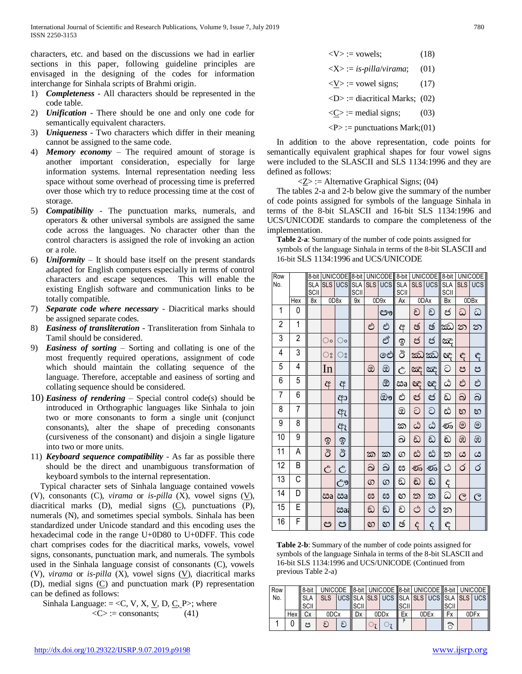characters, etc. and based on the discussions we had in earlier sections in this paper, following guideline principles are envisaged in the designing of the codes for information interchange for Sinhala scripts of Brahmi origin.

- 1) *Completeness* All characters should be represented in the code table.
- 2) *Unification* There should be one and only one code for semantically equivalent characters.
- 3) *Uniqueness* Two characters which differ in their meaning cannot be assigned to the same code.
- 4) *Memory economy* The required amount of storage is another important consideration, especially for large information systems. Internal representation needing less space without some overhead of processing time is preferred over those which try to reduce processing time at the cost of storage.
- 5) *Compatibility* The punctuation marks, numerals, and operators & other universal symbols are assigned the same code across the languages. No character other than the control characters is assigned the role of invoking an action or a role.
- 6) *Uniformity* It should base itself on the present standards adapted for English computers especially in terms of control characters and escape sequences. This will enable the existing English software and communication links to be totally compatible.
- 7) *Separate code where necessary* Diacritical marks should be assigned separate codes.
- 8) *Easiness of transliteration* Transliteration from Sinhala to Tamil should be considered.
- 9) *Easiness of sorting* Sorting and collating is one of the most frequently required operations, assignment of code which should maintain the collating sequence of the language. Therefore, acceptable and easiness of sorting and collating sequence should be considered.
- 10) *Easiness of rendering*  Special control code(s) should be introduced in Orthographic languages like Sinhala to join two or more consonants to form a single unit (conjunct consonants), alter the shape of preceding consonants (cursiveness of the consonant) and disjoin a single ligature into two or more units.
- 11) *Keyboard sequence compatibility* As far as possible there should be the direct and unambiguous transformation of keyboard symbols to the internal representation.

Typical character sets of Sinhala language contained vowels (V), consonants (C), *virama* or *is-pilla* (X), vowel signs (V), diacritical marks  $(D)$ , medial signs  $(C)$ , punctuations  $(P)$ , numerals (N), and sometimes special symbols. Sinhala has been standardized under Unicode standard and this encoding uses the hexadecimal code in the range U+0D80 to U+0DFF. This code chart comprises codes for the diacritical marks, vowels, vowel signs, consonants, punctuation mark, and numerals. The symbols used in the Sinhala language consist of consonants (C), vowels (V), *virama* or *is-pilla* (X), vowel signs (V), diacritical marks (D), medial signs (C) and punctuation mark (P) representation can be defined as follows:

Sinhala Language: = < $C$ , V, X, <u>V</u>, D,  $C$ , P>; where  $\langle C \rangle$ := consonants; (41)

$$
\langle V \rangle := \text{vowels};\tag{18}
$$

$$
\langle X \rangle := is-pilla/virama; \quad (01)
$$

- $\langle V \rangle$ : = vowel signs; (17)
- $\langle$ D $\rangle$  := diacritical Marks; (02)

 $\langle C \rangle$  := medial signs; (03)

 $\langle P \rangle$  := punctuations Mark; (01)

In addition to the above representation, code points for semantically equivalent graphical shapes for four vowel signs were included to the SLASCII and SLS 1134:1996 and they are defined as follows:

 $\langle Z \rangle$  := Alternative Graphical Signs; (04)

The tables 2-a and 2-b below give the summary of the number of code points assigned for symbols of the language Sinhala in terms of the 8-bit SLASCII and 16-bit SLS 1134:1996 and UCS/UNICODE standards to compare the completeness of the implementation.

**Table 2-a**: Summary of the number of code points assigned for symbols of the language Sinhala in terms of the 8-bit SLASCII and 16-bit SLS 1134:1996 and UCS/UNICODE

| Row            |                |                    |             | 8-bit UNICODE 8-bit |                    |            | UNICODE 8-bit |                    |                  | UNICODE 8-bit |                    |            | <b>UNICODE</b> |
|----------------|----------------|--------------------|-------------|---------------------|--------------------|------------|---------------|--------------------|------------------|---------------|--------------------|------------|----------------|
| No.            |                | <b>SLA</b><br>SCII | <b>SLS</b>  | UCS                 | <b>SLA</b><br>SCII | <b>SLS</b> | <b>UCS</b>    | <b>SLA</b><br>SCII | SLS <sup>I</sup> | <b>UCS</b>    | <b>SLA</b><br>SCII | <b>SLS</b> | <b>UCS</b>     |
|                | Hex            | 8x                 |             | 0D8x                | 9x                 |            | 0D9x          | Ax                 |                  | 0DAx          | <b>Bx</b>          |            | 0DBx           |
| 1              | 0              |                    |             |                     |                    |            | ඐ             |                    | ච                | ච             | ජ                  | ධ          | ධ              |
| $\overline{c}$ | 1              |                    |             |                     |                    | එ          | එ             | ą                  | ජ                | ඡ             | ඣ                  | ဘ          | න              |
| 3              | $\overline{2}$ |                    | ಂ           | ं०                  |                    |            | ඒ             | ඉ                  | ජ                | ජ             | කිදි               |            |                |
| 4              | 3              |                    | ះ           | ះ                   |                    |            | ඓ             | ඊ                  | ಹು               | ඣ             | æ                  | $\epsilon$ | $\epsilon$     |
| 5              | 4              |                    | In          |                     |                    | ඔ          | ඔ             | Ĉ                  | ඤ                | <b>BG</b>     | ට                  | ප          | ප              |
| 6              | 5              |                    | අ           | අ                   |                    |            | ඕ             | ඎ                  | æ                | eg            | ඨ                  | ඵ          | ඵ              |
| 7              | 6              |                    |             | ආ                   |                    |            | ඖ             | එ                  | ඦ                | ඦ             | ඩ                  | බ          | බ              |
| 8              | $\overline{7}$ |                    |             | ඇ                   |                    |            |               | ඔ                  | ට                | ට             | ඪ                  | හ          | හ              |
| 9              | 8              |                    |             | ඇ                   |                    |            |               | ක                  | ඨ                | ඨ             | ණ                  | ම          | $\circledcirc$ |
| 10             | 9              |                    | $\circledS$ | ବୃ                  |                    |            |               | ඛ                  | ඩ                | ඩ             | ඩ                  | ඹ          | ඹ              |
| 11             | Α              |                    | ඊ           | ඊ                   |                    | ක          | ක             | $\circledS$        | ස්               | ස්            | ත                  | ය          | ය              |
| 12             | B              |                    | Ĉ           | Ĉ                   |                    | ඛ          | ඛ             | ස                  | ණ                | ණ             | ථ                  | ර          | ර              |
| 13             | С              |                    |             | ඌ                   |                    | $\circ$    | ග             | ඩ                  | ඩ                | ඬ             | ද                  |            |                |
| 14             | D              |                    | ඎ           | ඎ                   |                    | ස          | ස             | හ                  | ත                | ත             | ධ                  | ල          | $\overline{C}$ |
| 15             | E              |                    |             | ඎ                   |                    | ඞ          | ඞ             | ච                  | ථ                | ථ             | න                  |            |                |
| 16             | F              |                    | ඏ           | ඏ                   |                    | හ          | හ             | ඡ                  | ද                | ද             | ę                  |            |                |

**Table 2-b**: Summary of the number of code points assigned for symbols of the language Sinhala in terms of the 8-bit SLASCII and 16-bit SLS 1134:1996 and UCS/UNICODE (Continued from previous Table 2-a)

| Row |        | 8-bit         |                  |   |      |              | UNICODE   8-bit   UNICODE   8-bit   UNICODE   8-bit   UNICODE |              |      |              |      |
|-----|--------|---------------|------------------|---|------|--------------|---------------------------------------------------------------|--------------|------|--------------|------|
| No. |        | <b>SLA</b>    | <b>SLS</b>       |   |      |              | UCS SLA SLS UCS SLA SLS UCS SLA SLS UCS                       |              |      |              |      |
|     |        | <b>I</b> SCII |                  |   | SCII |              |                                                               | <b>ISCII</b> |      | <b>ISCII</b> |      |
|     | Hex II | Сx            | 0DC <sub>x</sub> |   | Dx   |              | 0DD <sub>x</sub>                                              | Ex           | 0DEx | <b>Fx</b>    | 0DFx |
|     |        | 29            | ค                | ล |      | $\bigcirc$ 7 | $\circ$                                                       |              |      | ි            |      |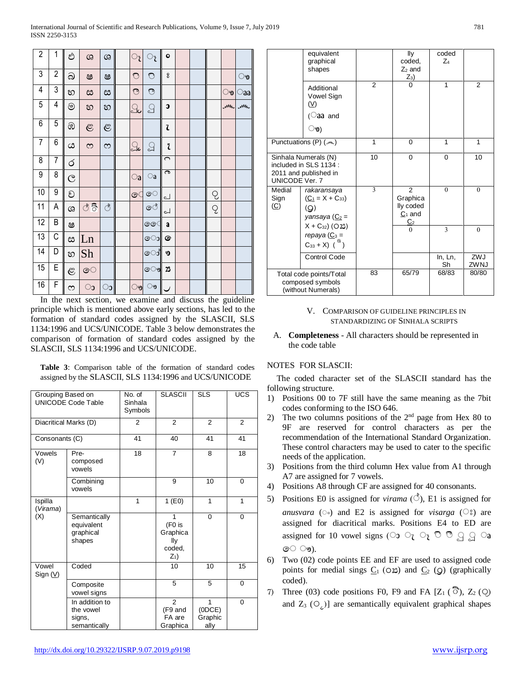| $\overline{c}$     | 1                       | ඵ                        | ශ              | <u>ය</u>       | ্য           | ැ                                     | $\bullet$               |         |               |           |                         |
|--------------------|-------------------------|--------------------------|----------------|----------------|--------------|---------------------------------------|-------------------------|---------|---------------|-----------|-------------------------|
| 3                  | $\overline{\mathbf{c}}$ | බ                        | ෂ              | ෂ              | $\bigcirc$   | $\bigcirc$                            | $\bf{g}$                |         |               |           | ್ರ                      |
| $\overline{4}$     | 3                       | හ                        | ස              | ස              | $\mathbb{C}$ | $\sum_{i=1}^{n}$                      |                         |         |               | ್ರ        | Caa                     |
| $\overline{5}$     | $\overline{4}$          | $^{\circledR}$           | හ              | හ              | ු            | $\textcolor{red}{\textstyle\bigcirc}$ | C                       |         |               | <b>Mh</b> | <b>Mh</b>               |
| $\overline{6}$     | $\mathbf 5$             | ඹ                        | $\mathfrak{E}$ | $\mathfrak{S}$ |              |                                       | ι                       |         |               |           |                         |
| $\overline{7}$     | 6                       | ය                        | $\infty$       | S              | ූ            | $\mathbb{S}$                          | Ž                       |         |               |           |                         |
| 8                  | 7                       | Ó                        |                |                |              |                                       | $\bigcap$               |         |               |           |                         |
| 9                  | 8                       | $\overline{\mathcal{C}}$ |                |                | $\circ$ a    | $\bigcirc$ a                          | $\overline{\mathbf{c}}$ |         |               |           |                         |
| $\overline{10}$    | 9                       | ව                        |                |                | ෙ            | ෙ                                     | പ                       |         | $\mathcal{Q}$ |           |                         |
| $\overline{11}$    | Α                       | ශ                        | $\circ$ ් වි   | ੇ              |              | ේ                                     | لم                      |         | Q             |           |                         |
| $\overline{12}$    | B                       | ෂ                        |                |                |              | ෛ                                     | a                       |         |               |           |                         |
| 13                 | C                       | ස                        | Ln             |                |              | ො                                     | ☞                       |         |               |           |                         |
| 14                 | D                       | හ                        | Sh             |                |              | ෝ                                     | ৩                       |         |               |           |                         |
| $\overline{15}$    | E                       | $\mathfrak{S}$           | ෙ              |                |              | ৩িত                                   | 23                      |         |               |           |                         |
| 16<br>$\mathbf{r}$ | F<br>$\cdot$ 1          | S                        | ാ              | ാ              | ෟ            | ෟ                                     | ×.                      | $\cdot$ | $\cdot$ 1     |           | $\cdot$ $\cdot$ $\cdot$ |

In the next section, we examine and discuss the guideline principle which is mentioned above early sections, has led to the formation of standard codes assigned by the SLASCII, SLS 1134:1996 and UCS/UNICODE. Table 3 below demonstrates the comparison of formation of standard codes assigned by the SLASCII, SLS 1134:1996 and UCS/UNICODE.

Table 3: Comparison table of the formation of standard codes assigned by the SLASCII, SLS 1134:1996 and UCS/UNICODE

| Grouping Based on   | <b>UNICODE Code Table</b>                             | No. of<br>Sinhala<br>Symbols | <b>SLASCII</b>                                    | <b>SLS</b>                    | UCS      |
|---------------------|-------------------------------------------------------|------------------------------|---------------------------------------------------|-------------------------------|----------|
|                     | Diacritical Marks (D)                                 | $\overline{2}$               | $\mathfrak{p}$                                    | $\overline{2}$                | 2        |
| Consonants (C)      |                                                       | 41                           | 40                                                | 41                            | 41       |
| Vowels<br>(V)       | Pre-<br>composed<br>vowels                            | 18                           | $\overline{7}$                                    | 8                             | 18       |
|                     | Combining<br>vowels                                   |                              | 9                                                 | 10                            | 0        |
| Ispilla<br>(Virama) |                                                       | 1                            | 1(E0)                                             | 1                             | 1        |
| (X)                 | Semantically<br>equivalent<br>graphical<br>shapes     |                              | 1<br>(F0 is<br>Graphica<br>lly<br>coded,<br>$Z_1$ | $\Omega$                      | $\Omega$ |
| Vowel<br>Sign $(V)$ | Coded                                                 |                              | 10                                                | 10                            | 15       |
|                     | Composite<br>vowel signs                              |                              | 5                                                 | 5                             | 0        |
|                     | In addition to<br>the vowel<br>signs,<br>semantically |                              | $\overline{2}$<br>(F9 and<br>FA are<br>Graphica   | 1<br>(ODE)<br>Graphic<br>ally | $\Omega$ |

|                                                                                                         | equivalent<br>graphical<br>shapes                                       |                | lly<br>coded,<br>$Z_2$ and<br>$Z_3$                                    | coded<br>$Z_4$ |                |
|---------------------------------------------------------------------------------------------------------|-------------------------------------------------------------------------|----------------|------------------------------------------------------------------------|----------------|----------------|
|                                                                                                         | Additional<br>Vowel Sign<br>$(\vee)$<br>(aa and<br>ෳ)                   | $\mathfrak{p}$ | $\Omega$                                                               | $\mathbf 1$    | $\mathfrak{p}$ |
|                                                                                                         | Punctuations (P) ( www.)                                                | 1              | $\Omega$                                                               | 1              | 1              |
| <b>UNICODE Ver. 7</b>                                                                                   | Sinhala Numerals (N)<br>included in SLS 1134 :<br>2011 and published in | 10             | 0                                                                      | $\Omega$       | 10             |
| Medial<br>Sign<br>(C)                                                                                   | rakaransaya<br>$(C_1 = X + C_{33})$<br>(Q)<br>yansaya (C <sub>2</sub> = |                | $\mathfrak{p}$<br>Graphica<br>lly coded<br>$C_1$ and<br>C <sub>2</sub> | $\theta$       | $\theta$       |
| $X + C_{32}$ (O23)<br>repaya $(\underline{C}_3$ =<br>$C_{33} + X)$ ( $\overset{\text{\tiny{(a)}}}{)}$ ) |                                                                         |                | $\Omega$                                                               | 3              | $\theta$       |
|                                                                                                         | <b>Control Code</b>                                                     |                |                                                                        | In, Ln,<br>Sh  | ZWJ<br>ZWNJ    |
|                                                                                                         | Total code points/Total<br>composed symbols<br>(without Numerals)       | 83             | 65/79                                                                  | 68/83          | 80/80          |

## V. COMPARISON OF GUIDELINE PRINCIPLES IN STANDARDIZING OF SINHALA SCRIPTS

A. Completeness - All characters should be represented in the code table

# NOTES FOR SLASCII:

The coded character set of the SLASCII standard has the following structure.

- 1) Positions 00 to 7F still have the same meaning as the 7bit codes conforming to the ISO 646.
- The two columns positions of the  $2<sup>nd</sup>$  page from Hex 80 to 2) 9F are reserved for control characters as per the recommendation of the International Standard Organization. These control characters may be used to cater to the specific needs of the application.
- 3) Positions from the third column Hex value from A1 through A7 are assigned for 7 vowels.
- 4) Positions A8 through CF are assigned for 40 consonants.
- 5) Positions E0 is assigned for *virama*  $(\hat{\circ})$ , E1 is assigned for anusvara ( $\circ$ ) and E2 is assigned for *visarga* ( $\circ$ ) are assigned for diacritical marks. Positions E4 to ED are assigned for 10 vowel signs (00  $\circ$ <sub>7</sub>  $\circ$ <sub>7</sub>  $\circ$   $\circ$ <sub>9</sub>  $\circ$ <sub>9</sub>  $\circ$ <sub>9</sub>  $\circ$ <sub>9</sub> ෙ ෟ.
- 6) Two (02) code points EE and EF are used to assigned code points for medial sings  $C_1$  (02) and  $C_2$  ( $\circ$ ) (graphically coded).
- Three (03) code positions F0, F9 and FA  $[Z_1(\widehat{\mathcal{O}}), Z_2(\mathcal{O})]$ 7) and  $Z_3$  (O<sub>c</sub>)] are semantically equivalent graphical shapes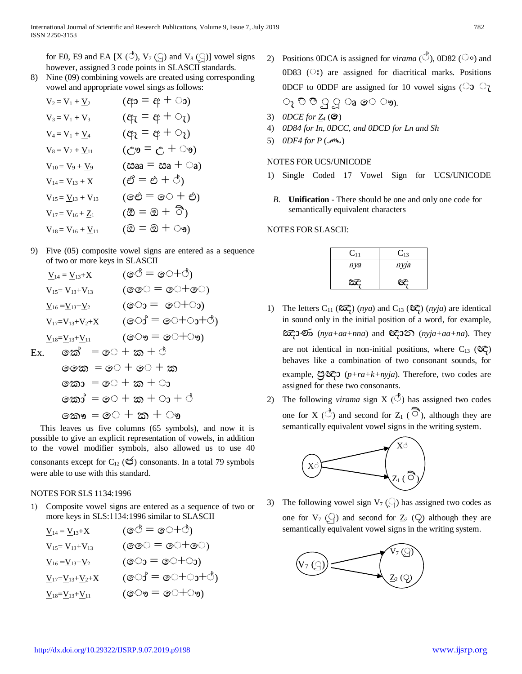for E0, E9 and EA [X (*C*<sup>b</sup>), V<sub>7</sub> ( $\binom{1}{1}$ ) and V<sub>8</sub> ( $\binom{1}{1}$ ) vowel signs however, assigned 3 code points in SLASCII standards.

8) Nine (09) combining vowels are created using corresponding vowel and appropriate vowel sings as follows:

| $V_2 = V_1 + \underline{V}_2$       | $(c^2 + p \equiv c p)$                                     |
|-------------------------------------|------------------------------------------------------------|
| $V_3 = V_1 + \underline{V}_3$       | $\left(\alpha + \beta = \beta\beta\right)$                 |
| $V_4 = V_1 + \underline{V}_4$       | $\left( \alpha \right) = \alpha + \alpha$ ্য               |
| $V_8 = V_7 + V_{11}$                | $(C_9 = C + \circledcirc)$                                 |
| $V_{10} = V_9 + \underline{V}_9$    | $(\cos a = \cos a + \cos a)$                               |
| $V_{14} = V_{13} + X$               | $( \mathcal{O} = \mathcal{O} + \mathcal{O})$               |
| $V_{15} = V_{13} + V_{13}$          | $(\circledcirc \circ = \circledcirc \circ + \circledcirc)$ |
| $V_{17} = V_{16} + \underline{Z}_1$ | $(\mathfrak{D} = \mathfrak{D} + \overline{\mathfrak{O}})$  |
| $V_{18} = V_{16} + V_{11}$          | $($ ම = ඔ + ං)                                             |

9) Five (05) composite vowel signs are entered as a sequence of two or more keys in SLASCII

$$
\underline{V}_{14} = \underline{V}_{13} + X \qquad (\text{C}^{\uparrow} = \text{C}^{-\uparrow} \text{C})
$$
\n
$$
V_{15} = V_{13} + V_{13} \qquad (\text{C}^{\uparrow} = \text{C}^{-\uparrow} \text{C}^{-\uparrow})
$$
\n
$$
\underline{V}_{16} = \underline{V}_{13} + \underline{V}_{2} \qquad (\text{C}^{\uparrow} = \text{C}^{-\uparrow} \text{C}^{-\uparrow})
$$
\n
$$
\underline{V}_{17} = \underline{V}_{13} + \underline{V}_{2} + X \qquad (\text{C}^{\uparrow} = \text{C}^{-\uparrow} \text{C}^{-\uparrow} \text{C}^{-\uparrow})
$$
\n
$$
\underline{V}_{18} = \underline{V}_{13} + \underline{V}_{11} \qquad (\text{C}^{\uparrow} = \text{C}^{-\uparrow} \text{C}^{-\uparrow})
$$
\n
$$
\text{Ex.} \qquad \text{C}^{\uparrow} = \text{C}^{-\uparrow} \text{C}^{\uparrow} \text{C}^{-\uparrow} \text{C}
$$
\n
$$
\text{C}^{\uparrow} = \text{C}^{-\uparrow} \text{C}^{-\uparrow} \text{C}
$$
\n
$$
\text{C}^{\uparrow} = \text{C}^{-\uparrow} \text{C}^{-\uparrow} \text{C}
$$
\n
$$
\text{C}^{\uparrow} = \text{C}^{-\uparrow} \text{C}^{-\uparrow} \text{C}
$$
\n
$$
\text{C}^{\uparrow} = \text{C}^{-\uparrow} \text{C}^{-\uparrow} \text{C}
$$
\n
$$
\text{C}^{\uparrow} = \text{C}^{-\uparrow} \text{C}^{-\uparrow} \text{C}
$$
\n
$$
\text{C}^{\uparrow} = \text{C}^{-\uparrow} \text{C}^{-\uparrow} \text{C}
$$
\n
$$
\text{C}^{\uparrow} = \text{C}^{-\uparrow} \text{C}^{-\uparrow} \text{C}
$$
\n
$$
\text{C}^{\uparrow} = \text{C}^{-\uparrow} \text{C}^{-\uparrow} \text{C}
$$
\n
$$
\text{C}^{\uparrow}
$$

This leaves us five columns (65 symbols), and now it is possible to give an explicit representation of vowels, in addition to the vowel modifier symbols, also allowed us to use 40 consonants except for  $C_{12}$  ( $\mathfrak{S}$ ) consonants. In a total 79 symbols were able to use with this standard.

#### NOTES FOR SLS 1134:1996

1) Composite vowel signs are entered as a sequence of two or more keys in SLS:1134:1996 similar to SLASCII

$$
\underline{V}_{14} = \underline{V}_{13} + X \qquad (\text{or } \text{S} = \text{or } \text{S} - \text{S} - \text{S} - \text{S} - \text{S} - \text{S} - \text{S} - \text{S} - \text{S} - \text{S} - \text{S} - \text{S} - \text{S} - \text{S} - \text{S} - \text{S} - \text{S} - \text{S} - \text{S} - \text{S} - \text{S} - \text{S} - \text{S} - \text{S} - \text{S} - \text{S} - \text{S} - \text{S} - \text{S} - \text{S} - \text{S} - \text{S} - \text{S} - \text{S} - \text{S} - \text{S} - \text{S} - \text{S} - \text{S} - \text{S} - \text{S} - \text{S} - \text{S} - \text{S} - \text{S} - \text{S} - \text{S} - \text{S} - \text{S} - \text{S} - \text{S} - \text{S} - \text{S} - \text{S} - \text{S} - \text{S} - \text{S} - \text{S} - \text{S} - \text{S} - \text{S} - \text{S} - \text{S} - \text{S} - \text{S} - \text{S} - \text{S} - \text{S} - \text{S} - \text{S} - \text{S} - \text{S} - \text{S} - \text{S} - \text{S} - \text{S} - \text{S} - \text{S} - \text{S} - \text{S} - \text{S} - \text{S} - \text{S} - \text{S} - \text{S} - \text{S} - \text{S} - \text{S} - \text{S} - \text{S} - \text{S} - \text{S} - \text{S} - \text{S} - \text{S} - \text{S} - \text{S} - \text{S} - \text{S} - \text{S} - \text{S} - \text{S} - \text{S} - \text{S} - \text{S} - \text{S} - \text{S} - \text{S} - \text{S} - \text{S} - \text{S} - \text{S} - \text{S} - \text{S} - \text{S} - \text{S} - \text{S} - \text{S} - \text{S} - \text{S} - \text
$$

2) Positions 0DCA is assigned for *virama* ( $\circ$ ), 0D82 ( $\circ$ ) and 0D83 (Sections) are assigned for diacritical marks. Positions 0DCF to 0DDF are assigned for 10 vowel signs  $\bigcirc$   $\circ$ <sub>7</sub>

$$
\circ_{\mathfrak k}\circ\circ\circ\lrcorner\,\lrcorner\,\lrcorner\,\lrcorner\,\lrcorner\,\lrcorner\,\lrcorner\,\lrcorner\,\lrcorner
$$

- 3) *ODCE for*  $Z_4$  ( $\odot$ )
- 4) *0D84 for In, 0DCC, and 0DCD for Ln and Sh*
- 5) *ODF4 for P (* $M_{\text{tot}}$ *)*

#### NOTES FOR UCS/UNICODE

- 1) Single Coded 17 Vowel Sign for UCS/UNICODE
- *B.* **Unification** *-* There should be one and only one code for semantically equivalent characters

NOTES FOR SLASCII:

| $\rm C_{11}$ | $C_{13}$ |
|--------------|----------|
| nya          | nyja     |
|              |          |

- 1) The letters  $C_{11}$  ( $\widehat{\alpha}$ ) (*nya*) and  $C_{13}$  ( $\widehat{\alpha}$ ) (*nyja*) are identical in sound only in the initial position of a word, for example, ඤ ණ (*nya+aa+nna*) and ඥ න (*nyja+aa+na*). They are not identical in non-initial positions, where  $C_{13}$  ( $C_{\text{C}}$ ) behaves like a combination of two consonant sounds, for example,  $\mathfrak{S} \mathfrak{C} \mathfrak{D}$  ( $p+ra+k+nyja$ ). Therefore, two codes are assigned for these two consonants.
- 2) The following *virama* sign  $X(\vec{C})$  has assigned two codes one for X ( $\circled{5}$ ) and second for Z<sub>1</sub> ( $\circled{5}$ ), although they are semantically equivalent vowel signs in the writing system.



3) The following vowel sign  $V_7(\underline{\cdot})$  has assigned two codes as one for  $V_7$  ( $\bigcirc$ ) and second for  $Z_2$  ( $\bigcirc$ ) although they are semantically equivalent vowel signs in the writing system.

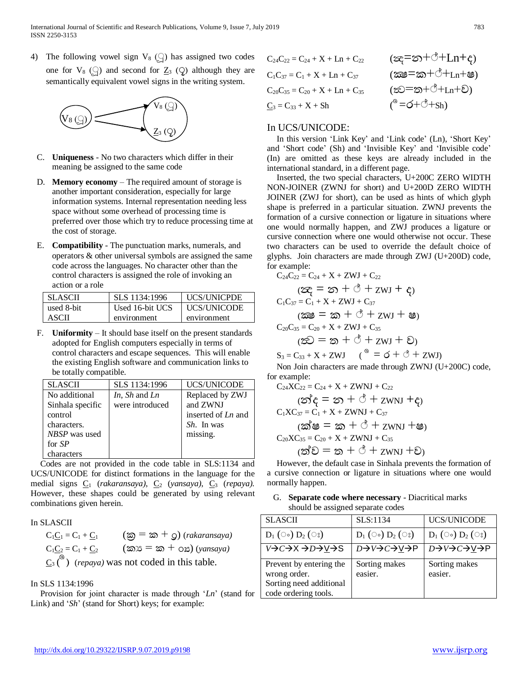4) The following vowel sign  $V_8$  () has assigned two codes one for  $V_8$  ( $\bigcirc$ ) and second for  $Z_3$  ( $Q$ ) although they are semantically equivalent vowel signs in the writing system.



- C. **Uniqueness** No two characters which differ in their meaning be assigned to the same code
- D. **Memory economy** The required amount of storage is another important consideration, especially for large information systems. Internal representation needing less space without some overhead of processing time is preferred over those which try to reduce processing time at the cost of storage.
- E. **Compatibility** The punctuation marks, numerals, and operators & other universal symbols are assigned the same code across the languages. No character other than the control characters is assigned the role of invoking an action or a role

| <b>SLASCII</b> | SLS 1134:1996   | UCS/UNICPDE        |
|----------------|-----------------|--------------------|
| used 8-bit     | Used 16-bit UCS | <b>UCS/UNICODE</b> |
| ASCII          | environment     | environment        |

F. **Uniformity** – It should base itself on the present standards adopted for English computers especially in terms of control characters and escape sequences. This will enable the existing English software and communication links to be totally compatible.

| <b>SLASCII</b>   | SLS 1134:1996   | <b>UCS/UNICODE</b> |
|------------------|-----------------|--------------------|
| No additional    | In, Sh and Ln   | Replaced by ZWJ    |
| Sinhala specific | were introduced | and ZWNJ           |
| control          |                 | inserted of Ln and |
| characters.      |                 | <i>Sh.</i> In was  |
| NBSP was used    |                 | missing.           |
| for SP           |                 |                    |
| characters       |                 |                    |

Codes are not provided in the code table in SLS:1134 and UCS/UNICODE for distinct formations in the language for the medial signs  $C_1$  (*rakaransaya*),  $C_2$  (*yansaya*),  $C_3$  (*repaya*). However, these shapes could be generated by using relevant combinations given herein.

## In SLASCII

 $C_1C_1 = C_1 + C_1$  (ක) = ක $+$  Q) (*rakaransaya*)  $C_1C_2 = C_1 + C_2$  (කා $S = \mathbf{\infty} + \mathbf{O}\mathbf{\Sigma}$ ) (*yansaya*)  $C_3$ <sup>( $\circ$ </sup>) (*repaya*) was not coded in this table.

## In SLS 1134:1996

Provision for joint character is made through '*Ln*' (stand for Link) and '*Sh*' (stand for Short) keys; for example:

$$
C_{24}C_{22} = C_{24} + X + Ln + C_{22} \t (\infty = \infty + \circ + Ln + \epsilon)
$$
  
\n
$$
C_{1}C_{37} = C_{1} + X + Ln + C_{37} \t (\infty = \infty + \circ + Ln + \epsilon)
$$
  
\n
$$
C_{20}C_{35} = C_{20} + X + Ln + C_{35} \t (\infty = \infty + \circ + Ln + \epsilon)
$$
  
\n
$$
C_{3} = C_{33} + X + Sh \t (\infty = \epsilon + \circ + Sh)
$$

# In UCS/UNICODE:

In this version 'Link Key' and 'Link code' (Ln), 'Short Key' and 'Short code' (Sh) and 'Invisible Key' and 'Invisible code' (In) are omitted as these keys are already included in the international standard, in a different page.

Inserted, the two special characters, U+200C ZERO WIDTH NON-JOINER (ZWNJ for short) and U+200D ZERO WIDTH JOINER (ZWJ for short), can be used as hints of which glyph shape is preferred in a particular situation. ZWNJ prevents the formation of a cursive connection or ligature in situations where one would normally happen, and ZWJ produces a ligature or cursive connection where one would otherwise not occur. These two characters can be used to override the default choice of glyphs. Join characters are made through ZWJ (U+200D) code, for example:

$$
C_{24}C_{22} = C_{24} + X + ZWJ + C_{22}
$$
  
\n
$$
(\mathfrak{D}_{\mathbf{C}} = \mathfrak{D} + \mathfrak{D} + ZWJ + \mathfrak{C}_{2})
$$
  
\n
$$
C_{1}C_{37} = C_{1} + X + ZWJ + C_{37}
$$
  
\n
$$
(\mathfrak{D}\mathfrak{D} = \mathfrak{D} + \mathfrak{D} + ZWJ + \mathfrak{B})
$$
  
\n
$$
C_{20}C_{35} = C_{20} + X + ZWJ + C_{35}
$$
  
\n
$$
(\mathfrak{D}\mathfrak{D} = \mathfrak{D} + \mathfrak{D} + ZWJ + \mathfrak{D})
$$

 $S_3 = C_{33} + X + ZWJ$  (<sup> $\circ$ </sup> =  $\circ$  +  $\circ$  +  $ZWJ$ ) Non Join characters are made through ZWNJ (U+200C) code, for example:

$$
C_{24}XC_{22} = C_{24} + X + ZWNJ + C_{22}
$$
  
\n
$$
(\mathfrak{D}^{\mathfrak{F}}\hat{\mathsf{c}} = \mathfrak{D} + \overset{\mathfrak{g}}{\circ} + ZWNJ + \hat{\mathsf{c}})
$$
  
\n
$$
C_{1}XC_{37} = C_{1} + X + ZWNJ + C_{37}
$$
  
\n
$$
(\mathfrak{D}^{\mathfrak{F}}\mathfrak{G} = \mathfrak{D} + \overset{\mathfrak{g}}{\circ} + ZWNJ + \check{\mathsf{c}})
$$
  
\n
$$
C_{20}XC_{35} = C_{20} + X + ZWNJ + C_{35}
$$
  
\n
$$
(\mathfrak{D}^{\mathfrak{F}}\mathfrak{D} = \mathfrak{D} + \overset{\mathfrak{g}}{\circ} + ZWNJ + \check{\mathsf{c}})
$$

However, the default case in Sinhala prevents the formation of a cursive connection or ligature in situations where one would normally happen.

# G. **Separate code where necessary** - Diacritical marks should be assigned separate codes

| <b>SLASCII</b>                                                                             | SLS:1134                 | <b>UCS/UNICODE</b>                   |
|--------------------------------------------------------------------------------------------|--------------------------|--------------------------------------|
| $D_1$ (00) $D_2$ (03)                                                                      | $D_1$ (00) $D_2$ (08)    | $D_1$ ( $\circ$ ) $D_2$ ( $\circ$ s) |
| V→C→X→D→V→S                                                                                | D→V→C→V→P                | D→V→C→V→P                            |
| Prevent by entering the<br>wrong order.<br>Sorting need additional<br>code ordering tools. | Sorting makes<br>easier. | Sorting makes<br>easier.             |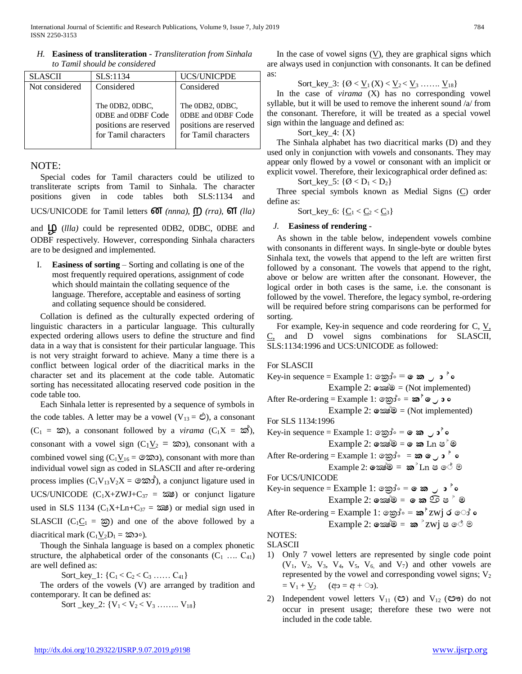| <b>SLASCII</b> | SLS:1134                                                                                | <b>UCS/UNICPDE</b>                                                                      |
|----------------|-----------------------------------------------------------------------------------------|-----------------------------------------------------------------------------------------|
| Not considered | Considered                                                                              | Considered                                                                              |
|                | The 0DB2, 0DBC,<br>0DBE and 0DBF Code<br>positions are reserved<br>for Tamil characters | The 0DB2, 0DBC,<br>0DBE and 0DBF Code<br>positions are reserved<br>for Tamil characters |

*H.* **Easiness of transliteration** *- Transliteration from Sinhala to Tamil should be considered*

## NOTE:

Special codes for Tamil characters could be utilized to transliterate scripts from Tamil to Sinhala. The character positions given in code tables both SLS:1134 and

UCS/UNICODE for Tamil letters ன *(nnna)*, ற *(rra)*, ள *(lla)*

and  $\Box Q$  (*llla*) could be represented 0DB2, 0DBC, 0DBE and ODBF respectively. However, corresponding Sinhala characters are to be designed and implemented.

I. **Easiness of sorting** – Sorting and collating is one of the most frequently required operations, assignment of code which should maintain the collating sequence of the language. Therefore, acceptable and easiness of sorting and collating sequence should be considered.

Collation is defined as the culturally expected ordering of linguistic characters in a particular language. This culturally expected ordering allows users to define the structure and find data in a way that is consistent for their particular language. This is not very straight forward to achieve. Many a time there is a conflict between logical order of the diacritical marks in the character set and its placement at the code table. Automatic sorting has necessitated allocating reserved code position in the code table too.

Each Sinhala letter is represented by a sequence of symbols in the code tables. A letter may be a vowel  $(V_{13} = \hat{C})$ , a consonant  $(C_1 = \infty)$ , a consonant followed by a *virama*  $(C_1X = \infty)$ , consonant with a vowel sign ( $C_1V_2 = \infty$ ), consonant with a combined vowel sing  $(C_1V_{16} = \mathcal{O}\mathfrak{D}^2)$ , consonant with more than individual vowel sign as coded in SLASCII and after re-ordering process implies  $(C_1V_{13}V_2X = \mathcal{A} \mathcal{A})$ , a conjunct ligature used in UCS/UNICODE  $(C_1X+ZWJ+C_{37} = \infty)$  or conjunct ligature used in SLS 1134 ( $C_1X+Ln+C_{37} = \infty$ ) or medial sign used in SLASCII ( $C_1C_1 = \infty$ ) and one of the above followed by a diacritical mark  $(C_1V_2D_1 = \delta \mathfrak{D} \circ).$ 

Though the Sinhala language is based on a complex phonetic structure, the alphabetical order of the consonants  $(C_1 \ldots C_{41})$ are well defined as:

Sort\_key\_1:  ${C_1 < C_2 < C_3 \dots \dots C_{41}}$ 

The orders of the vowels (V) are arranged by tradition and contemporary. It can be defined as:

Sort \_key\_2:  ${V_1 < V_2 < V_3$  ……..  $V_{18}$ 

In the case of vowel signs  $(V)$ , they are graphical signs which are always used in conjunction with consonants. It can be defined as:

Sort\_key\_3:  $\{0, \vee_1(X) < \vee_2 \vee \vee_3 \dots \dots \vee \vee_{18}\}$ 

In the case of *virama* (X) has no corresponding vowel syllable, but it will be used to remove the inherent sound /a/ from the consonant. Therefore, it will be treated as a special vowel sign within the language and defined as:

Sort key 4:  ${X}$ 

The Sinhala alphabet has two diacritical marks (D) and they used only in conjunction with vowels and consonants. They may appear only flowed by a vowel or consonant with an implicit or explicit vowel. Therefore, their lexicographical order defined as:

$$
Sort\_key\_5\colon \{\emptyset < D_1 < D_2\}
$$

Three special symbols known as Medial Signs (C) order define as:

Sort\_key\_6:  $\{C_1 < C_2 < C_3\}$ 

## *J.* **Easiness of rendering** *-*

As shown in the table below, independent vowels combine with consonants in different ways. In single-byte or double bytes Sinhala text, the vowels that append to the left are written first followed by a consonant. The vowels that append to the right, above or below are written after the consonant. However, the logical order in both cases is the same, i.e. the consonant is followed by the vowel. Therefore, the legacy symbol, re-ordering will be required before string comparisons can be performed for sorting.

For example, Key-in sequence and code reordering for C,  $V$ , C, and D vowel signs combinations for SLASCII, SLS:1134:1996 and UCS:UNICODE as followed:

# For SLASCII

 $Key-in sequence = Example 1: \circ \circ \circ \circ \circ \circ \circ \circ \circ \circ$ Example 2: කෙමීම = (Not implemented)  $\text{After Re-ordering} = \text{Example 1: } \circ \text{Im}^{\dagger} \circ \text{Im}^{\dagger} \circ \text{Im}^{\dagger} \circ \text{Im}^{\dagger} \circ \text{Im}^{\dagger} \circ \text{Im}^{\dagger} \circ \text{Im}^{\dagger} \circ \text{Im}^{\dagger} \circ \text{Im}^{\dagger} \circ \text{Im}^{\dagger} \circ \text{Im}^{\dagger} \circ \text{Im}^{\dagger} \circ \text{Im}^{\dagger} \circ \text{Im}^{\dagger} \circ \text{Im}^{\dagger} \circ \text{Im}^{\dagger} \circ \text{Im}^{\dagger$  Example 2: **ï**ක්ෂà**Ä** = (Not implemented) For SLS 1134:1996  $Key-in sequence = Example 1: \circ \circ \circ \circ \circ \circ \circ \circ \circ \circ$ Example 2: **ï**ක්ෂà**Ä** = **ï ¨** Ln Ë à **Ä**  $\text{After Re-ordering} = \text{Example 1: } \text{mod}^3 = \text{mod} \cdot \text{mod}^8$ Example 2: **ï**ක්ෂà**Ä** = **¨** àLn Ë ෞ ම For UCS/UNICODE  $Key-in sequence = Example 1: \circ \circ \circ \circ \circ \circ \circ \circ \circ \circ$  $Example 2: \circ \mathbb{S} \circ \mathbb{S} = \circ \mathbb{S} \circ \mathbb{S} \circ \mathbb{S} \circ \mathbb{S}$ After Re-ordering = Example 1: ෙක්ර = **¨ à** zwj Ç ෞ **â** Example 2: **ï**ක්ෂà**Ä** = **¨** àzwj Ë ෞ ම NOTES: SLASCII

- 1) Only 7 vowel letters are represented by single code point  $(V_1, V_2, V_3, V_4, V_5, V_6, and V_7)$  and other vowels are represented by the vowel and corresponding vowel signs;  $V_2$  $= V_1 + V_2$  (අ $= \alpha + \infty$ ).
- 2) Independent vowel letters  $V_{11}$  ( $\circledcirc$ ) and  $V_{12}$  ( $\circledcirc$ ) do not occur in present usage; therefore these two were not included in the code table.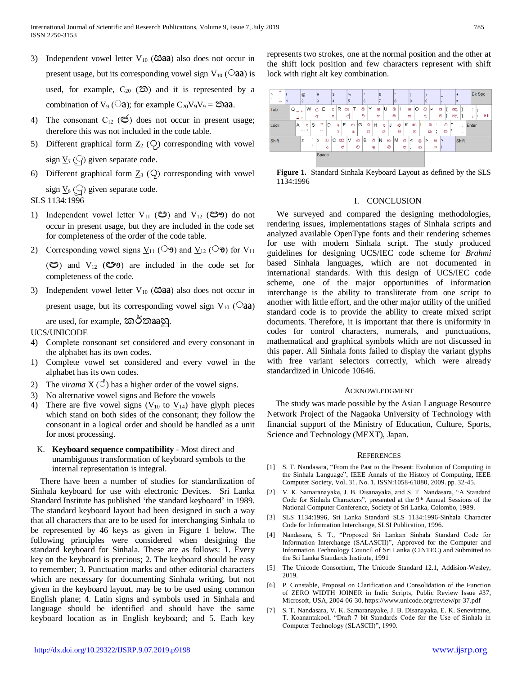- 3) Independent vowel letter  $V_{10}$  ( $\text{C}3a$ a) also does not occur in present usage, but its corresponding vowel sign  $V_{10}$  ( $\odot$ aa) is used, for example,  $C_{20}$  ( $\infty$ ) and it is represented by a combination of  $\underline{V}_9$  ( $\square$ a); for example C<sub>20</sub>V<sub>9</sub>V<sub>9</sub> =  $\triangle$ **aa**.
- 4) The consonant  $C_{12}$  ( $C_3$ ) does not occur in present usage; therefore this was not included in the code table.
- 5) Different graphical form  $\underline{Z}_2$  ( $\bigcirc$ ) corresponding with vowel sign  $\underline{V}_7$  () given separate code.
- 6) Different graphical form Z<sup>3</sup> (**ÿ**í) corresponding with vowel sign  $\underline{V}_8$  ( $\ominus$ ) given separate code.

SLS 1134:1996

- 1) Independent vowel letter  $V_{11}$  ( $\circledcirc$ ) and  $V_{12}$  ( $\circledcirc$  $\circledcirc$ ) do not occur in present usage, but they are included in the code set for completeness of the order of the code table.
- 2) Corresponding vowel signs  $V_{11}$  ( $\heartsuit$ **)** and  $V_{12}$  ( $\heartsuit$ **<sup>3</sup>)** for  $V_{11}$

 $(\mathfrak{S})$  and  $V_{12}$   $(\mathfrak{S})$  are included in the code set for completeness of the code.

3) Independent vowel letter  $V_{10}$  ( $\text{c}3a$ a) also does not occur in present usage, but its corresponding vowel sign  $V_{10}$  ( $\odot$ aa)

are used, for example, කර්ත aaහ.

# UCS/UNICODE

- 4) Complete consonant set considered and every consonant in the alphabet has its own codes.
- 1) Complete vowel set considered and every vowel in the alphabet has its own codes.
- 2) The *virama*  $X(\text{ }^{\circ})$  has a higher order of the vowel signs.
- 3) No alternative vowel signs and Before the vowels
- 4) There are five vowel signs  $(V_{10}$  to  $V_{14})$  have glyph pieces which stand on both sides of the consonant; they follow the consonant in a logical order and should be handled as a unit for most processing.
	- K. **Keyboard sequence compatibility** Most direct and unambiguous transformation of keyboard symbols to the internal representation is integral.

There have been a number of studies for standardization of Sinhala keyboard for use with electronic Devices. Sri Lanka Standard Institute has published 'the standard keyboard' in 1989. The standard keyboard layout had been designed in such a way that all characters that are to be used for interchanging Sinhala to be represented by 46 keys as given in Figure 1 below. The following principles were considered when designing the standard keyboard for Sinhala. These are as follows: 1. Every key on the keyboard is precious; 2. The keyboard should be easy to remember; 3. Punctuation marks and other editorial characters which are necessary for documenting Sinhala writing, but not given in the keyboard layout, may be to be used using common English plane; 4. Latin signs and symbols used in Sinhala and language should be identified and should have the same keyboard location as in English keyboard; and 5. Each key

represents two strokes, one at the normal position and the other at the shift lock position and few characters represent with shift lock with right alt key combination.



**Figure 1.** Standard Sinhala Keyboard Layout as defined by the SLS 1134:1996

#### I. CONCLUSION

We surveyed and compared the designing methodologies, rendering issues, implementations stages of Sinhala scripts and analyzed available OpenType fonts and their rendering schemes for use with modern Sinhala script. The study produced guidelines for designing UCS/IEC code scheme for *Brahmi* based Sinhala languages, which are not documented in international standards. With this design of UCS/IEC code scheme, one of the major opportunities of information interchange is the ability to transliterate from one script to another with little effort, and the other major utility of the unified standard code is to provide the ability to create mixed script documents. Therefore, it is important that there is uniformity in codes for control characters, numerals, and punctuations, mathematical and graphical symbols which are not discussed in this paper. All Sinhala fonts failed to display the variant glyphs with free variant selectors correctly, which were already standardized in Unicode 10646.

#### ACKNOWLEDGMENT

The study was made possible by the Asian Language Resource Network Project of the Nagaoka University of Technology with financial support of the Ministry of Education, Culture, Sports, Science and Technology (MEXT), Japan.

#### **REFERENCES**

- [1] S. T. Nandasara, "From the Past to the Present: Evolution of Computing in the Sinhala Language", IEEE Annals of the History of Computing, IEEE Computer Society, Vol. 31. No. 1, ISSN:1058-61880, 2009. pp. 32-45.
- [2] V. K. Samaranayake, J. B. Disanayaka, and S. T. Nandasara, "A Standard Code for Sinhala Characters", presented at the 9<sup>th</sup> Annual Sessions of the National Computer Conference, Society of Sri Lanka, Colombo, 1989.
- [3] SLS 1134:1996, Sri Lanka Standard SLS 1134:1996-Sinhala Character Code for Information Interchange, SLSI Publication, 1996.
- [4] Nandasara, S. T.*,* "Proposed Sri Lankan Sinhala Standard Code for Information Interchange (SALASCII)", Approved for the Computer and Information Technology Council of Sri Lanka (CINTEC) and Submitted to the Sri Lanka Standards Institute, 1991
- [5] The Unicode Consortium, The Unicode Standard 12.1, Addision-Wesley, 2019.
- [6] P. Constable, Proposal on Clarification and Consolidation of the Function of ZERO WIDTH JOINER in Indic Scripts, Public Review Issue #37, Microsoft, USA, 2004-06-30. <https://www.unicode.org/review/pr-37.pdf>
- [7] S. T. Nandasara, V. K. Samaranayake, J. B. Disanayaka, E. K. Seneviratne, T. Koanantakool, "Draft 7 bit Standards Code for the Use of Sinhala in Computer Technology (SLASCII)", 1990.